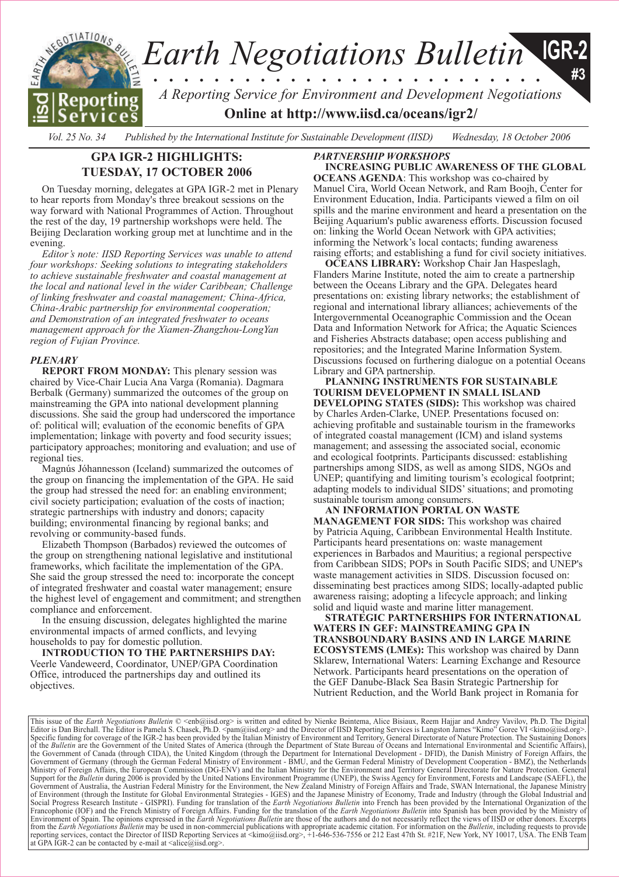

*Vol. 25 No. 34 Published by the International Institute for Sustainable Development (IISD) Wednesday, 18 October 2006*

# **GPA IGR-2 HIGHLIGHTS: TUESDAY, 17 OCTOBER 2006**

On Tuesday morning, delegates at GPA IGR-2 met in Plenary to hear reports from Monday's three breakout sessions on the way forward with National Programmes of Action. Throughout the rest of the day, 19 partnership workshops were held. The Beijing Declaration working group met at lunchtime and in the evening.

*Editor's note: IISD Reporting Services was unable to attend four workshops: Seeking solutions to integrating stakeholders to achieve sustainable freshwater and coastal management at the local and national level in the wider Caribbean; Challenge of linking freshwater and coastal management; China-Africa, China-Arabic partnership for environmental cooperation; and Demonstration of an integrated freshwater to oceans management approach for the Xiamen-Zhangzhou-LongYan region of Fujian Province.*

### *PLENARY*

**REPORT FROM MONDAY:** This plenary session was chaired by Vice-Chair Lucia Ana Varga (Romania). Dagmara Berbalk (Germany) summarized the outcomes of the group on mainstreaming the GPA into national development planning discussions. She said the group had underscored the importance of: political will; evaluation of the economic benefits of GPA implementation; linkage with poverty and food security issues; participatory approaches; monitoring and evaluation; and use of regional ties.

Magnús Jóhannesson (Iceland) summarized the outcomes of the group on financing the implementation of the GPA. He said the group had stressed the need for: an enabling environment; civil society participation; evaluation of the costs of inaction; strategic partnerships with industry and donors; capacity building; environmental financing by regional banks; and revolving or community-based funds.

Elizabeth Thompson (Barbados) reviewed the outcomes of the group on strengthening national legislative and institutional frameworks, which facilitate the implementation of the GPA. She said the group stressed the need to: incorporate the concept of integrated freshwater and coastal water management; ensure the highest level of engagement and commitment; and strengthen compliance and enforcement.

In the ensuing discussion, delegates highlighted the marine environmental impacts of armed conflicts, and levying households to pay for domestic pollution.

**INTRODUCTION TO THE PARTNERSHIPS DAY:**  Veerle Vandeweerd, Coordinator, UNEP/GPA Coordination Office, introduced the partnerships day and outlined its objectives.

## *PARTNERSHIP WORKSHOPS*

**INCREASING PUBLIC AWARENESS OF THE GLOBAL OCEANS AGENDA**: This workshop was co-chaired by Manuel Cira, World Ocean Network, and Ram Boojh, Center for Environment Education, India. Participants viewed a film on oil spills and the marine environment and heard a presentation on the Beijing Aquarium's public awareness efforts. Discussion focused on: linking the World Ocean Network with GPA activities; informing the Network's local contacts; funding awareness raising efforts; and establishing a fund for civil society initiatives.

**OCEANS LIBRARY:** Workshop Chair Jan Haspeslagh, Flanders Marine Institute, noted the aim to create a partnership between the Oceans Library and the GPA. Delegates heard presentations on: existing library networks; the establishment of regional and international library alliances; achievements of the Intergovernmental Oceanographic Commission and the Ocean Data and Information Network for Africa; the Aquatic Sciences and Fisheries Abstracts database; open access publishing and repositories; and the Integrated Marine Information System. Discussions focused on furthering dialogue on a potential Oceans Library and GPA partnership.

**PLANNING INSTRUMENTS FOR SUSTAINABLE TOURISM DEVELOPMENT IN SMALL ISLAND DEVELOPING STATES (SIDS):** This workshop was chaired by Charles Arden-Clarke, UNEP. Presentations focused on: achieving profitable and sustainable tourism in the frameworks of integrated coastal management (ICM) and island systems management; and assessing the associated social, economic and ecological footprints. Participants discussed: establishing partnerships among SIDS, as well as among SIDS, NGOs and UNEP; quantifying and limiting tourism's ecological footprint; adapting models to individual SIDS' situations; and promoting sustainable tourism among consumers.

**AN INFORMATION PORTAL ON WASTE MANAGEMENT FOR SIDS:** This workshop was chaired by Patricia Aquing, Caribbean Environmental Health Institute. Participants heard presentations on: waste management experiences in Barbados and Mauritius; a regional perspective from Caribbean SIDS; POPs in South Pacific SIDS; and UNEP's waste management activities in SIDS. Discussion focused on: disseminating best practices among SIDS; locally-adapted public awareness raising; adopting a lifecycle approach; and linking solid and liquid waste and marine litter management.

**STRATEGIC PARTNERSHIPS FOR INTERNATIONAL WATERS IN GEF: MAINSTREAMING GPA IN TRANSBOUNDARY BASINS AND IN LARGE MARINE ECOSYSTEMS (LMEs):** This workshop was chaired by Dann Sklarew, International Waters: Learning Exchange and Resource Network. Participants heard presentations on the operation of the GEF Danube-Black Sea Basin Strategic Partnership for Nutrient Reduction, and the World Bank project in Romania for

This issue of the *Earth Negotiations Bulletin* © <[enb@iisd.org>](mailto:enb@iisd.org) is written and edited by Nienke Beintema, Alice Bisiaux, Reem Hajjar and Andrey Vavilov, Ph.D. The Digital and Andrey Vavilov, Ph.D. The Digital org>.<br>Editor Specific funding for coverage of the IGR-2 has been provided by the Italian Ministry of Environment and Territory, General Directorate of Nature Protection. The Sustaining Donors of the Bulletin are the Government of the U the Government of Canada (through CIDA), the United Kingdom (through the Department for International Development - DFID), the Danish Ministry of Foreign Affairs, the<br>Government of Germany (through the German Federal Minis Support for the Bulletin during 2006 is provided by the United Nations Environment Programme (UNEP), the Swiss Agency for Environment, Forests and Landscape (SAEFL), the<br>Government of Australia, the Austrian Federal Minist of Environment (through the Institute for Global Environmental Strategies - IGES) and the Japanese Ministry of Economy, Trade and Industry (through the Global Industrial and<br>Social Progress Research Institute - GISPRI). Fu Environment of Spain. The opinions expressed in the *Earth Negotiations Bulletin* are those of the authors and do not necessarily reflect the views of IISD or other donors. Excerpts from the *Earth Negotiations Bulletin* may be used in non-commercial publications with appropriate academic citation. For information on the *Bulletin*, including requests to provide reporting services, contact the Director of IISD Reporting Services at <[kimo@iisd.org>, +1](mailto:kimo@iisd.org)-646-536-7556 or 212 East 47th St. #21F, New York, NY 10017, USA. The ENB Team at GPA IGR-2 can be contacted by e-mail at  $\langle$ alice@iisd.org>